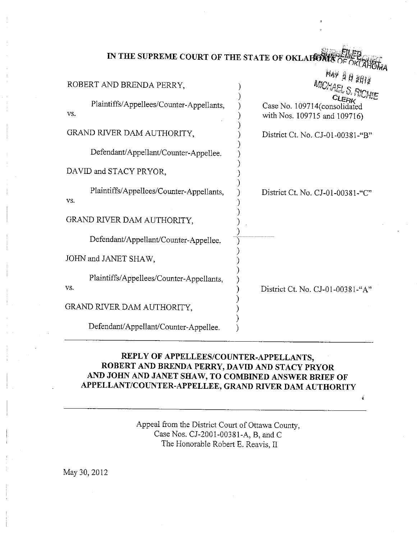| IN THE SUPREME COURT OF THE STATE OF OKLAHOMA? |  |  |
|------------------------------------------------|--|--|
|                                                |  |  |

MAY 20

Á

| $\sim$ $9977$<br>MICHAEL S. RICHIE                           |
|--------------------------------------------------------------|
| Case No. 109714(consolidated<br>with Nos. 109715 and 109716) |
| District Ct. No. CJ-01-00381-"B"                             |
|                                                              |
|                                                              |
| District Ct. No. CJ-01-00381-"C"                             |
|                                                              |
|                                                              |
|                                                              |
| District Ct. No. CJ-01-00381-"A"                             |
|                                                              |
|                                                              |
|                                                              |

## REPLY OF APPELLEES/COUNTER-APPELLANTS, ROBERT AND BRENDA PERRY, DAVID AND STACY PRYOR AND JOHN AND JANET SHAW, TO COMBINED ANSWER BRIEF OF APPELLANT/COUNTER-APPELLEE, GRAND RIVER DAM AUTHORITY

Appeal from the District Court of Ottawa County, Case Nos. CJ-2001-00381-A, B, and C The Honorable Robert E. Reavis, II

May 30, 2012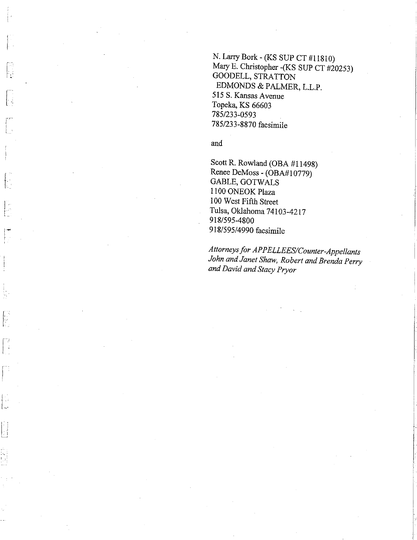N. Larry Bork - (KS SUP CT #11810) Mary E. Christopher - (KS SUP CT #20253) GOODELL, STRATTON EDMONDS & PALMER, L.L.P. 515 S. Kansas Avenue Topeka, KS 66603 785/233-0593 785/233-8870 facsimile

and

 $\left| \cdot \right|$ 

 $\mathcal{A}$ 

Scott R. Rowland (OBA #11498) Renee DeMoss - (OBA#10779) GABLE, GOTWALS 1100 ONEOK Plaza 100 West Fifth Street Tulsa, Oklahoma 74103-4217 918/595-4800 918/595/4990 facsimile

Attorneys for APPELLEES/Counter-Appellants John and Janet Shaw, Robert and Brenda Perry and David and Stacy Pryor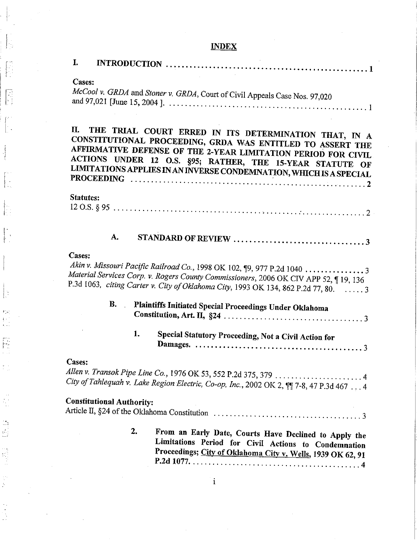# **INDEX**

 $\begin{bmatrix} 1 \\ 2 \end{bmatrix}$ 

 $\begin{pmatrix} 1 \\ 1 \\ 2 \end{pmatrix}$ 

 $\begin{bmatrix} 1 \\ 1 \\ 1 \end{bmatrix}$ 

 $\left[\begin{matrix} \mathbf{r}^{\mathbf{r}} \\ \mathbf{r}^{\mathbf{r}} \\ \mathbf{r}^{\mathbf{r}} \end{matrix}\right]$ 

 $\begin{bmatrix} 1 & 0 \\ 0 & 1 \end{bmatrix}$ 

 $\begin{bmatrix} 1 & 0 \\ 0 & 1 \end{bmatrix}$ 

 $\left\vert \right\vert$ 

 $\begin{bmatrix} \mathbf{P}_1^T \mathbf{P}_1^T \\ \vdots \\ \mathbf{P}_{n-1}^T \end{bmatrix}$ 

 $\begin{bmatrix} 1 \\ 0 \\ 0 \\ 0 \\ 0 \end{bmatrix}$ 

 $\frac{1}{2}$  )

 $\frac{1}{2}$ 

| I.                               |                                                                                                                                                                                                                                                                                                                          |
|----------------------------------|--------------------------------------------------------------------------------------------------------------------------------------------------------------------------------------------------------------------------------------------------------------------------------------------------------------------------|
| Cases:                           | McCool v. GRDA and Stoner v. GRDA, Court of Civil Appeals Case Nos. 97,020                                                                                                                                                                                                                                               |
| П.                               | THE TRIAL COURT ERRED IN ITS DETERMINATION THAT, IN A<br>CONSTITUTIONAL PROCEEDING, GRDA WAS ENTITLED TO ASSERT THE<br>AFFIRMATIVE DEFENSE OF THE 2-YEAR LIMITATION PERIOD FOR CIVIL.<br>ACTIONS UNDER 12 O.S. §95; RATHER, THE 15-YEAR STATUTE OF<br>LIMITATIONS APPLIES IN AN INVERSE CONDEMNATION, WHICH IS A SPECIAL |
| <b>Statutes:</b>                 |                                                                                                                                                                                                                                                                                                                          |
|                                  |                                                                                                                                                                                                                                                                                                                          |
| A.                               |                                                                                                                                                                                                                                                                                                                          |
| Cases:                           | Akin v. Missouri Pacific Railroad Co., 1998 OK 102, 19, 977 P.2d 1040  3<br>Material Services Corp. v. Rogers County Commissioners, 2006 OK CIV APP 52, 19, 136<br>P.3d 1063, citing Carter v. City of Oklahoma City, 1993 OK 134, 862 P.2d 77, 80.  3                                                                   |
| <b>B.</b>                        | Plaintiffs Initiated Special Proceedings Under Oklahoma                                                                                                                                                                                                                                                                  |
| 1.                               | Special Statutory Proceeding, Not a Civil Action for                                                                                                                                                                                                                                                                     |
| Cases:                           | Allen v. Transok Pipe Line Co., 1976 OK 53, 552 P.2d 375, 379 4<br>City of Tahlequah v. Lake Region Electric, Co-op, Inc., 2002 OK 2, $\P$ $7$ -8, 47 P.3d 467  4                                                                                                                                                        |
| <b>Constitutional Authority:</b> |                                                                                                                                                                                                                                                                                                                          |
| $\mathbf{2}$                     | From an Early Date, Courts Have Declined to Apply the<br>Limitations Period for Civil Actions to Condemnation<br>Proceedings; City of Oklahoma City v. Wells, 1939 OK 62, 91                                                                                                                                             |

 $\frac{1}{2}$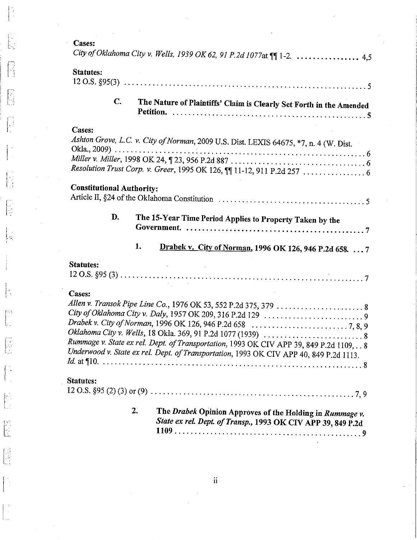$\mathcal{C}$ 

 $\left[\begin{smallmatrix} 0 & 0 \\ 0 & 0 \\ 0 & 0 \end{smallmatrix}\right]$ 

 $\begin{bmatrix} 1 \\ 1 \\ 2 \end{bmatrix}$ 

 $\begin{bmatrix} 1 \\ 1 \\ 2 \end{bmatrix}$ 

 $\begin{bmatrix} 1 \\ 1 \end{bmatrix}$ 

 $\begin{bmatrix} 1 & 1 \\ 1 & 1 \\ 1 & 1 \end{bmatrix}$ 

 $\begin{bmatrix} \mathbb{R}^3 \\ \mathbb{R}^3 \\ \mathbb{R}^3 \end{bmatrix}$ 

 $\begin{bmatrix} \overline{\phantom{0}} \\ \overline{\phantom{0}} \\ \overline{\phantom{0}} \end{bmatrix}$ 

 $\begin{bmatrix} 1 & 0 \\ 0 & 0 \\ 0 & 0 \end{bmatrix}$ 

 $\begin{bmatrix} \mathbf{1} & \mathbf{1} & \mathbf{1} & \mathbf{1} & \mathbf{1} & \mathbf{1} & \mathbf{1} & \mathbf{1} & \mathbf{1} & \mathbf{1} & \mathbf{1} & \mathbf{1} & \mathbf{1} & \mathbf{1} & \mathbf{1} & \mathbf{1} & \mathbf{1} & \mathbf{1} & \mathbf{1} & \mathbf{1} & \mathbf{1} & \mathbf{1} & \mathbf{1} & \mathbf{1} & \mathbf{1} & \mathbf{1} & \mathbf{1} & \mathbf{1} & \mathbf{1} & \mathbf{1} & \mathbf{$ 

 $\begin{bmatrix} 1 \\ 1 \\ 2 \\ 3 \end{bmatrix}$ 

 $\begin{bmatrix} 1 & 0 \\ 0 & 1 \end{bmatrix}$ 

 $\begin{bmatrix} 1 & 1 \\ 1 & 1 \\ 1 & 1 \end{bmatrix}$ 

 $\begin{bmatrix} 0 \\ 0 \\ 0 \\ 0 \end{bmatrix}$ 

| <b>Cases:</b><br>City of Oklahoma City v. Wells, 1939 OK 62, 91 P.2d 1077at    1-2.  4,5                                                                                                   |
|--------------------------------------------------------------------------------------------------------------------------------------------------------------------------------------------|
| Statutes:                                                                                                                                                                                  |
| $\mathbf{C}$ .<br>The Nature of Plaintiffs' Claim is Clearly Set Forth in the Amended                                                                                                      |
| Cases:<br>Ashton Grove, L.C. v. City of Norman, 2009 U.S. Dist. LEXIS 64675, *7, n. 4 (W. Dist.                                                                                            |
| <b>Constitutional Authority:</b>                                                                                                                                                           |
| D.<br>The 15-Year Time Period Applies to Property Taken by the                                                                                                                             |
| 1.<br>Drabek v. City of Norman, 1996 OK 126, 946 P.2d 658.  7                                                                                                                              |
| <b>Statutes:</b>                                                                                                                                                                           |
| Cases:<br>Rummage v. State ex rel. Dept. of Transportation, 1993 OK CIV APP 39, 849 P.2d 1109, 8<br>Underwood v. State ex rel. Dept. of Transportation, 1993 OK CIV APP 40, 849 P.2d 1113. |
| Statutes:                                                                                                                                                                                  |
| 2.<br>The Drabek Opinion Approves of the Holding in Rummage v.<br>State ex rel. Dept. of Transp., 1993 OK CIV APP 39, 849 P.2d                                                             |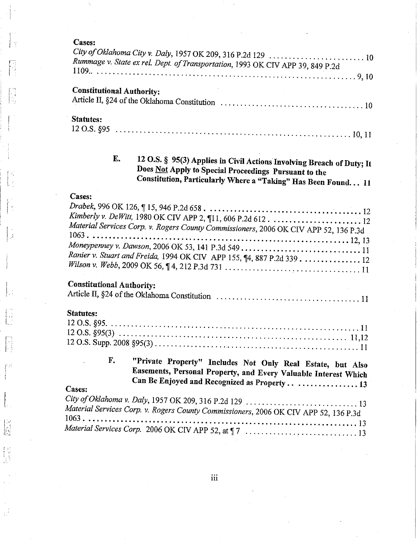## Cases:

 $\frac{1}{3}$ 

n<br>H

 $\left\lfloor \cdot \right\rfloor$ 

 $\left[\cdot\right]$ 

 $\begin{bmatrix} 1 & 0 \\ 0 & 0 \\ 0 & 0 \end{bmatrix}$ 

 $\left| . \right|$ 

 $\begin{bmatrix} 1 \\ -1 \\ 1 \\ 1 \end{bmatrix}$ 

 $\begin{bmatrix} 1 & 1 \\ 1 & 1 \\ 1 & 1 \end{bmatrix}$ 

 $f^{\prime}$ Ţ.

 $\left\{ \cdot \right\}$ 

 $\begin{bmatrix} 1 \\ 1 \\ 1 \end{bmatrix}$ 

ίÎ,

| City of Oklahoma City v. Daly, 1957 OK 209, 316 P.2d 129  10<br>Rummage v. State ex rel. Dept. of Transportation, 1993 OK CIV APP 39, 849 P.2d                                                        |
|-------------------------------------------------------------------------------------------------------------------------------------------------------------------------------------------------------|
|                                                                                                                                                                                                       |
| <b>Constitutional Authority:</b>                                                                                                                                                                      |
| <b>Statutes:</b>                                                                                                                                                                                      |
|                                                                                                                                                                                                       |
| E.<br>12 O.S. § 95(3) Applies in Civil Actions Involving Breach of Duty; It<br>Does Not Apply to Special Proceedings Pursuant to the<br>Constitution, Particularly Where a "Taking" Has Been Found 11 |
| <b>Cases:</b>                                                                                                                                                                                         |
| Material Services Corp. v. Rogers County Commissioners, 2006 OK CIV APP 52, 136 P.3d<br>Ranier v. Stuart and Freida, 1994 OK CIV APP 155, ¶4, 887 P.2d 339 12                                         |
| <b>Constitutional Authority:</b>                                                                                                                                                                      |
| <b>Statutes:</b>                                                                                                                                                                                      |
| F.<br>"Private Property" Includes Not Only Real Estate, but Also<br>Easements, Personal Property, and Every Valuable Interest Which<br>Can Be Enjoyed and Recognized as Property 13<br>Cases:         |
| Material Services Corp. v. Rogers County Commissioners, 2006 OK CIV APP 52, 136 P.3d                                                                                                                  |
| 13                                                                                                                                                                                                    |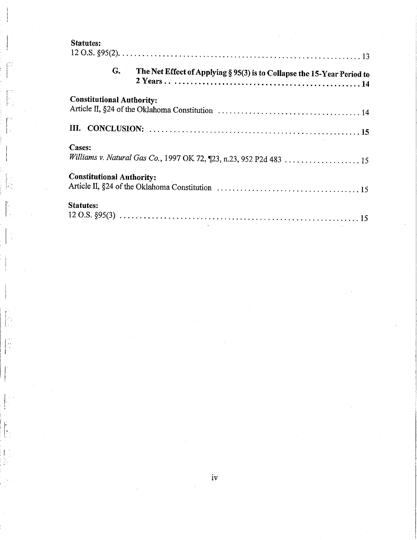| <b>Statutes:</b> |  |
|------------------|--|
|------------------|--|

 $\frac{1}{2}$ 

 $\frac{1}{2}$ 

| <b>Statutes:</b>                 |    |                                                                         |
|----------------------------------|----|-------------------------------------------------------------------------|
|                                  | G. | The Net Effect of Applying § 95(3) is to Collapse the 15-Year Period to |
| <b>Constitutional Authority:</b> |    |                                                                         |
|                                  |    |                                                                         |
| Cases:                           |    |                                                                         |
| <b>Constitutional Authority:</b> |    |                                                                         |
| <b>Statutes:</b>                 |    |                                                                         |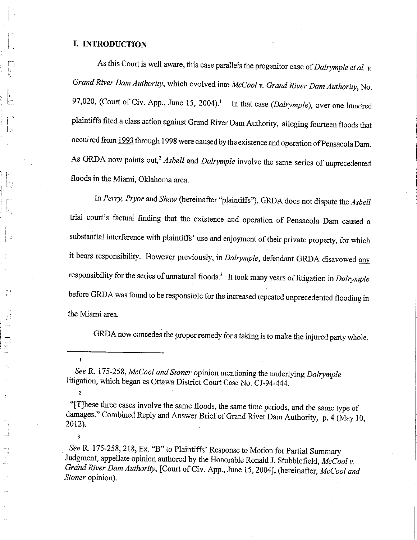#### I. INTRODUCTION

 $\mathbf{I}$ 

 $\overline{2}$ 

 $\overline{\mathbf{3}}$ 

As this Court is well aware, this case parallels the progenitor case of Dalrymple et al.  $v$ . Grand River Dam Authority, which evolved into McCool v. Grand River Dam Authority, No. 97,020, (Court of Civ. App., June 15, 2004).<sup>1</sup> In that case (Dalrymple), over one hundred plaintiffs filed a class action against Grand River Dam Authority, alleging fourteen floods that occurred from 1993 through 1998 were caused by the existence and operation of Pensacola Dam. As GRDA now points out,<sup>2</sup> Asbell and Dalrymple involve the same series of unprecedented floods in the Miami, Oklahoma area.

In Perry, Pryor and Shaw (hereinafter "plaintiffs"), GRDA does not dispute the Asbell trial court's factual finding that the existence and operation of Pensacola Dam caused a substantial interference with plaintiffs' use and enjoyment of their private property, for which it bears responsibility. However previously, in Dalrymple, defendant GRDA disavowed any responsibility for the series of unnatural floods.<sup>3</sup> It took many years of litigation in Dalrymple before GRDA was found to be responsible for the increased repeated unprecedented flooding in the Miami area.

GRDA now concedes the proper remedy for a taking is to make the injured party whole,

See R. 175-258, 218, Ex. "B" to Plaintiffs' Response to Motion for Partial Summary Judgment, appellate opinion authored by the Honorable Ronald J. Stubblefield, McCool v. Grand River Dam Authority, [Court of Civ. App., June 15, 2004], (hereinafter, McCool and Stoner opinion).

See R. 175-258, McCool and Stoner opinion mentioning the underlying Dalrymple litigation, which began as Ottawa District Court Case No. CJ-94-444.

<sup>&</sup>quot;[T] hese three cases involve the same floods, the same time periods, and the same type of damages." Combined Reply and Answer Brief of Grand River Dam Authority, p. 4 (May 10, 2012).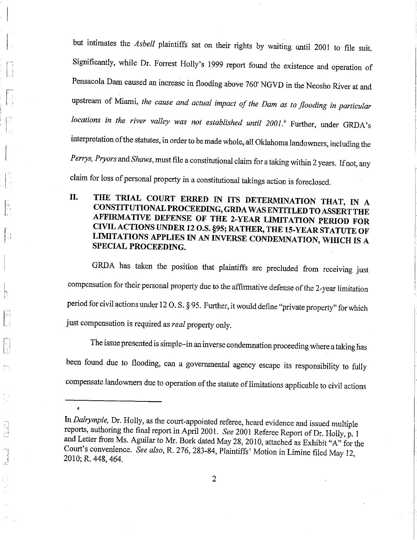but intimates the Asbell plaintiffs sat on their rights by waiting until 2001 to file suit. Significantly, while Dr. Forrest Holly's 1999 report found the existence and operation of Pensacola Dam caused an increase in flooding above 760' NGVD in the Neosho River at and upstream of Miami, the cause and actual impact of the Dam as to flooding in particular locations in the river valley was not established until 2001.4 Further, under GRDA's interpretation of the statutes, in order to be made whole, all Oklahoma landowners, including the Perrys, Pryors and Shaws, must file a constitutional claim for a taking within 2 years. If not, any claim for loss of personal property in a constitutional takings action is foreclosed.

THE TRIAL COURT ERRED IN ITS DETERMINATION THAT, IN A II. CONSTITUTIONAL PROCEEDING, GRDA WAS ENTITLED TO ASSERT THE AFFIRMATIVE DEFENSE OF THE 2-YEAR LIMITATION PERIOD FOR CIVIL ACTIONS UNDER 12 O.S. §95; RATHER, THE 15-YEAR STATUTE OF LIMITATIONS APPLIES IN AN INVERSE CONDEMNATION, WHICH IS A SPECIAL PROCEEDING.

GRDA has taken the position that plaintiffs are precluded from receiving just compensation for their personal property due to the affirmative defense of the 2-year limitation period for civil actions under 12 O.S. § 95. Further, it would define "private property" for which just compensation is required as real property only.

The issue presented is simple-in an inverse condemnation proceeding where a taking has been found due to flooding, can a governmental agency escape its responsibility to fully compensate landowners due to operation of the statute of limitations applicable to civil actions

 $\overline{4}$ 

 $\overline{\phantom{0}}$ 

In Dalrymple, Dr. Holly, as the court-appointed referee, heard evidence and issued multiple reports, authoring the final report in April 2001. See 2001 Referee Report of Dr. Holly, p. 1 and Letter from Ms. Aguilar to Mr. Bork dated May 28, 2010, attached as Exhibit "A" for the Court's convenience. See also, R. 276, 283-84, Plaintiffs' Motion in Limine filed May 12, 2010; R. 448, 464.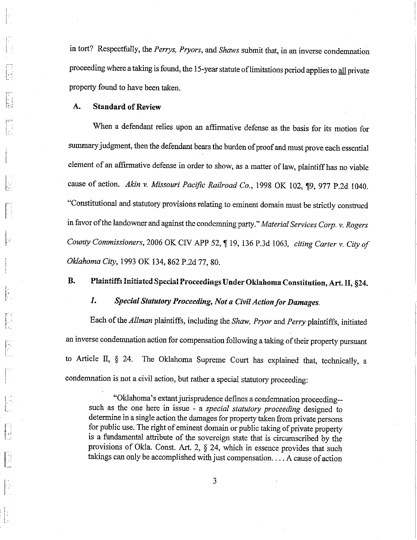in tort? Respectfully, the Perrys, Pryors, and Shaws submit that, in an inverse condemnation proceeding where a taking is found, the 15-year statute of limitations period applies to all private property found to have been taken.

#### A. **Standard of Review**

When a defendant relies upon an affirmative defense as the basis for its motion for summary judgment, then the defendant bears the burden of proof and must prove each essential element of an affirmative defense in order to show, as a matter of law, plaintiff has no viable cause of action. Akin v. Missouri Pacific Railroad Co., 1998 OK 102, 19, 977 P.2d 1040. "Constitutional and statutory provisions relating to eminent domain must be strictly construed in favor of the landowner and against the condemning party." Material Services Corp. v. Rogers County Commissioners, 2006 OK CIV APP 52, 19, 136 P.3d 1063, citing Carter v. City of Oklahoma City, 1993 OK 134, 862 P.2d 77, 80.

#### $\mathbf{B}$ . Plaintiffs Initiated Special Proceedings Under Oklahoma Constitution, Art. II, §24.

#### $\mathbf{I}$ . Special Statutory Proceeding, Not a Civil Action for Damages.

Each of the Allman plaintiffs, including the Shaw, Pryor and Perry plaintiffs, initiated an inverse condemnation action for compensation following a taking of their property pursuant to Article II, § 24. The Oklahoma Supreme Court has explained that, technically, a condemnation is not a civil action, but rather a special statutory proceeding:

"Oklahoma's extant jurisprudence defines a condemnation proceeding-such as the one here in issue - a special statutory proceeding designed to determine in a single action the damages for property taken from private persons for public use. The right of eminent domain or public taking of private property is a fundamental attribute of the sovereign state that is circumscribed by the provisions of Okla. Const. Art. 2, § 24, which in essence provides that such takings can only be accomplished with just compensation. . . . A cause of action

3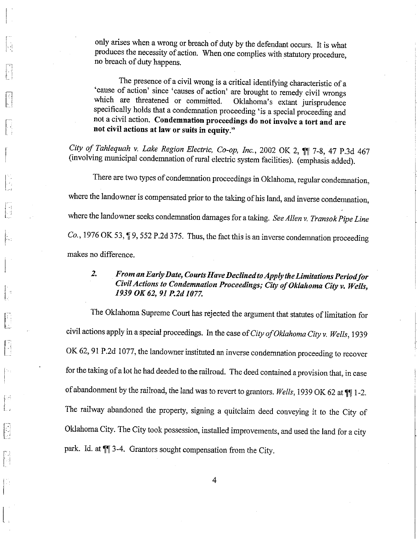only arises when a wrong or breach of duty by the defendant occurs. It is what produces the necessity of action. When one complies with statutory procedure, no breach of duty happens.

k)<br>Brit

 $\left\lceil \cdot \right\rceil$ 

The presence of a civil wrong is a critical identifying characteristic of a 'cause of action' since 'causes of action' are brought to remedy civil wrongs which are threatened or committed. Oklahoma's extant jurisprudence specifically holds that a condemnation proceeding 'is a special proceeding and not a civil action. Condemnation proceedings do not involve a tort and are not civil actions at law or suits in equity."

City of Tahlequah v. Lake Region Electric, Co-op, Inc., 2002 OK 2, 11 7-8, 47 P.3d 467 (involving municipal condemnation of rural electric system facilities). (emphasis added).

There are two types of condemnation proceedings in Oklahoma, regular condemnation, where the landowner is compensated prior to the taking of his land, and inverse condemnation, where the landowner seeks condemnation damages for a taking. See Allen v. Transok Pipe Line Co., 1976 OK 53, ¶ 9, 552 P.2d 375. Thus, the fact this is an inverse condemnation proceeding makes no difference.

#### From an Early Date, Courts Have Declined to Apply the Limitations Period for  $\overline{2}$ Civil Actions to Condemnation Proceedings; City of Oklahoma City v. Wells, 1939 OK 62, 91 P.2d 1077.

The Oklahoma Supreme Court has rejected the argument that statutes of limitation for civil actions apply in a special proceedings. In the case of City of Oklahoma City v. Wells, 1939 OK 62, 91 P.2d 1077, the landowner instituted an inverse condemnation proceeding to recover for the taking of a lot he had deeded to the railroad. The deed contained a provision that, in case of abandonment by the railroad, the land was to revert to grantors. Wells, 1939 OK 62 at  $\P$  1-2. The railway abandoned the property, signing a quitclaim deed conveying it to the City of Oklahoma City. The City took possession, installed improvements, and used the land for a city park. Id. at  $\P$  3-4. Grantors sought compensation from the City.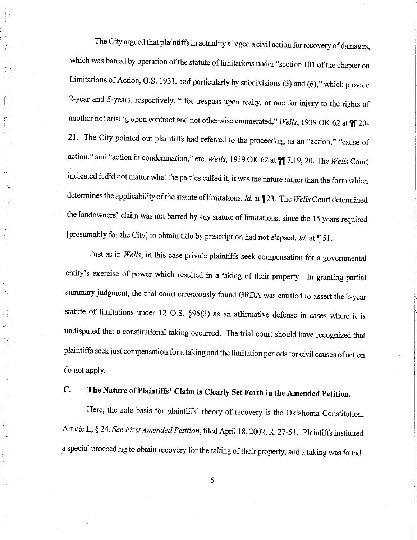The City argued that plaintiffs in actuality alleged a civil action for recovery of damages, which was barred by operation of the statute of limitations under "section 101 of the chapter on Limitations of Action, O.S. 1931, and particularly by subdivisions (3) and (6)," which provide 2-year and 5-years, respectively, " for trespass upon realty, or one for injury to the rights of another not arising upon contract and not otherwise enumerated." Wells, 1939 OK 62 at 11 20-21. The City pointed out plaintiffs had referred to the proceeding as an "action," "cause of action," and "action in condemnation," etc. Wells, 1939 OK 62 at 11 7,19, 20. The Wells Court indicated it did not matter what the parties called it, it was the nature rather than the form which determines the applicability of the statute of limitations. *Id.* at  $\P$  23. The Wells Court determined the landowners' claim was not barred by any statute of limitations, since the 15 years required [presumably for the City] to obtain title by prescription had not elapsed. Id. at  $\P$  51.

Just as in Wells, in this case private plaintiffs seek compensation for a governmental entity's exercise of power which resulted in a taking of their property. In granting partial summary judgment, the trial court erroneously found GRDA was entitled to assert the 2-year statute of limitations under 12 O.S.  $\S 95(3)$  as an affirmative defense in cases where it is undisputed that a constitutional taking occurred. The trial court should have recognized that plaintiffs seek just compensation for a taking and the limitation periods for civil causes of action do not apply.

#### The Nature of Plaintiffs' Claim is Clearly Set Forth in the Amended Petition.  $C_{\bullet}$

TF

Here, the sole basis for plaintiffs' theory of recovery is the Oklahoma Constitution, Article II, § 24. See First Amended Petition, filed April 18, 2002, R. 27-51. Plaintiffs instituted a special proceeding to obtain recovery for the taking of their property, and a taking was found.

5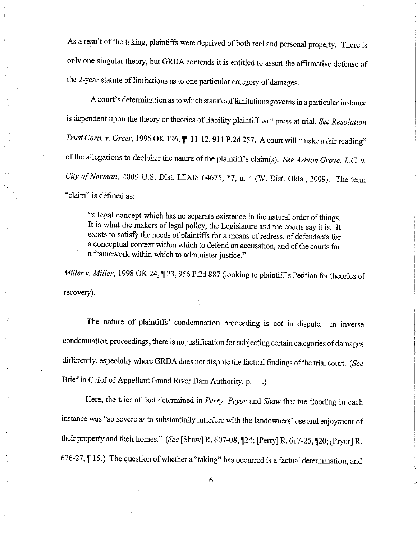As a result of the taking, plaintiffs were deprived of both real and personal property. There is only one singular theory, but GRDA contends it is entitled to assert the affirmative defense of the 2-year statute of limitations as to one particular category of damages.

I

J. I f.

I

 $\ddot{\phantom{a}}$ 

Ň,

A court's determination as to which statute of limitations governs in a particular instance is dependent upon the theory or theories of liability plaintiff will press at trial. See Resolution Trust Corp. v. Greer, 1995 OK 126,  $\P$  $\P$ 11-12, 911 P.2d 257. A court will "make a fair reading" of the allegations to decipher the nature of the plaintiff's claim(s). See Ashton Grove, L.C. v. City of Norman, 2009 U.S. Disr. LEXIS 64675, \*7, n. 4 (W. Disr. Okta., 2009). The term "claim" is defined as:

"a legal concept which has no separate existence in the natural order of things. It is what the makers of legal policy, the Legislature and the courts say it is. It exists to satisfy the needs of plaintiffs for a means of redress, of defendants for a conceptual context within which to defend an accusation, and of the courts for a framework within which to administer justice."

Miller v. Miller, 1998 OK 24, ¶ 23, 956 P.2d 887 (looking to plaintiff's Petition for theories of recovery).

The nature of plaintiffs' condemnation proceeding is not in dispute. In inverse condemnation proceedings, there is no justification for subjecting certain categories of damages differently, especially where GRDA does not dispute the factual findings of the trial court. (See Brief in Chief of Appellant Grand River Dam Authority, p. 11.)

Here, the trier of fact determined in Perry, Pryor and Shaw that the flooding in each instance was "so severe as to substantially interfere with the landowners' use and enjoyment of their property and their homes." (See [Shaw] R. 607-08, 124; [Perry] R. 617-25, 120; [Pryor] R. 626-27,  $\P$  15.) The question of whether a "taking" has occurred is a factual determination, and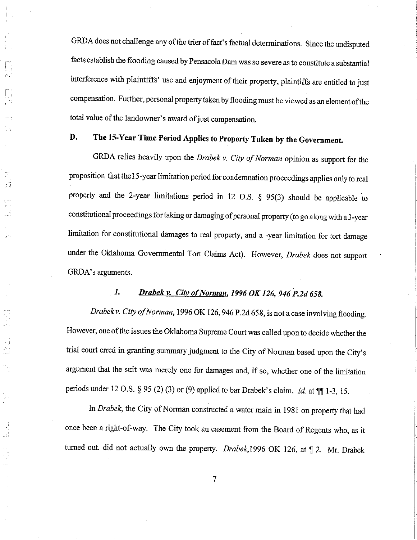GRDA does not challenge any of the trier of fact's factual determinations. Since the undisputed facts establish the flooding caused by Pensacola Dam was so severe as to constitute a substantial interference with plaintiffs' use and enjoyment of their property, plaintiffs are entitled to just compensation. Further, personal property taken by flooding must be viewed as an element ofthe total value of the landowner's award of just compensation.

## D. The 15-Year Time Period Applies to Property Taken by the Government.

I

T-

- 11

 $\begin{array}{c} \mathcal{L}_{\mathcal{L}_{\mathcal{L}}} \\ \mathcal{L}_{\mathcal{L}_{\mathcal{L}}} \end{array}$ 

GRDA relies heavily upon the Drabek v. City of Norman opinion as support for the proposition that the15-year limitation period for condemnation proceedings applies only to real property and the 2-year limitations period in 12 o.s. g 95(3) should be applicable to constitutional proceedings for taking or damaging of personal property (to go along with a 3-year limitation for constitutional damages to real property, and a -year limitation for tort damage under the Oklahoma Governmental Tort Claims Act). However, Drabek does not support GRDA's arguments.

## 1. Drabek v. City of Norman, 1996 OK 126, 946 P.2d 658.

Drabek v. City of Norman, 1996 OK 126, 946 P.2d 658, is not a case involving flooding. However, one of the issues the Oklahoma Supreme Court was called upon to decide whether the trial court erred in granting surnmary judgment to the city of Norman based upon the city's argument that the suit was merely one for damages and, if so, whether one of the limitation periods under 12 O.S. § 95 (2)(3) or (9) applied to bar Drabek's claim. Id. at  $\P\P$  1-3, 15.

In Drabek, the City of Norman constructed a water main in 1981 on property that had once been a right-of-way. The city took an easement from the Board of Regents who, as it turned out, did not actually own the property. Drabek, 1996 OK 126, at  $\P$  2. Mr. Drabek

 $\overline{7}$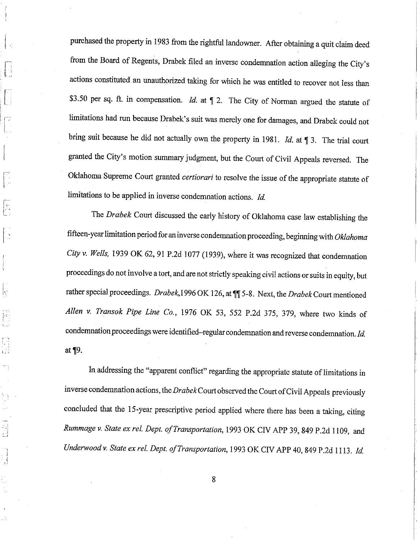purchased the property in 1983 from the rightful landowner. After obtaining a quit claim deed from the Board of Regents, Drabek filed an inverse condemnation action alleging the City's actions constituted an unauthorized taking for which he was entitled to recover not less than \$3.50 per sq. ft. in compensation. *Id.* at  $\parallel$  2. The City of Norman argued the statute of limitations had run because Drabek's suit was merely one for damages, and Drabek could not bring suit because he did not actually own the property in 1981. Id. at  $\P$  3. The trial court granted the City's motion summary judgment, but the Court of Civil Appeals reversed. The Oklahoma Supreme Court granted certiorari to resolve the issue of the appropriate statute of limitations to be applied in inverse condemnation actions. Id.

The Drabek Court discussed the early history of Oklahoma case law establishing the fifteen-year limitation period for an inverse condemnation proceeding, beginning with Oklahoma City v. Wells, 1939 OK 62, 91 P.2d 1077 (1939), where it was recognized that condemnation proceedings do not involve a tort, and are not strictly speaking civil actions or suits in equity, but rather special proceedings. Drabek, 1996 OK 126, at  $\P$  5-8. Next, the Drabek Court mentioned Allen v. Transok Pipe Line Co., 1976 OK 53, 552 P.2d 375, 379, where two kinds of condemnation proceedings were identified-regular condemnation and reverse condemnation. Id. at  $\P9$ .

ļ.

 $\frac{1}{2} \left( \frac{1}{2} \right)^2$ 

In addressing the "apparent conflict" regarding the appropriate statute of limitations in inverse condemnation actions, the Drabek Court observed the Court of Civil Appeals previously concluded that the l5-year prescriptive period applied where there has been a taking, citing Rummage v. State ex rel. Dept. of Transportation, 1993 OK CIV APP 39, 849 P.2d 1109, and Underwood v. State ex rel. Dept. of Transportation, 1993 OK CIV APP 40, 849 P.2d 1113. Id.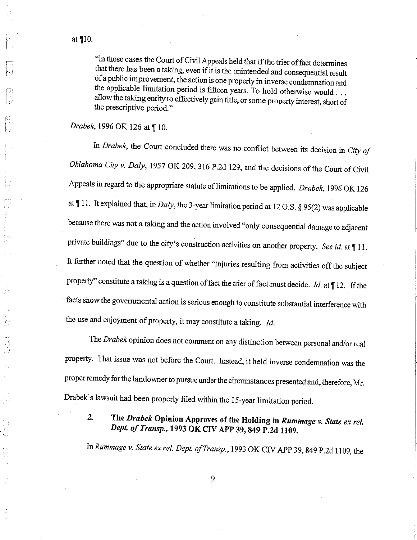÷,

)<br>Al

"In those cases the Court of Civil Appeals held that if the trier of fact determines that there has been a taking, even if it is the unintended and consequential result of a public improvement, the action is one properly in inverse condemnation and the applicable limitation period is fifteen years. To hold otherwise would . . . allow the taking entity to effectively gain title, or some property interest, short of the prescriptive period."

### Drabek, 1996 OK 126 at ¶ 10.

In Drabek, the Court concluded there was no conflict between its decision in City of Oklahoma City v. Daly, 1957 OK 209, 316 P.2d 129, and the decisions of the Court of Civil Appeals in regard to the appropriate statute of limitations to be applied. Drabek, 1996 OK 126 at  $\P$  11. It explained that, in *Daly*, the 3-year limitation period at 12 O.S. § 95(2) was applicable because there was not a taking and the action involved "only consequential damage to adjacent private buildings" due to the city's construction activities on another property. See id. at || 11. It further noted that the question of whether "injuries resulting from activities off the subject property" constitute a taking is a question of fact the trier of fact must decide. Id. at  $\P$ 12. If the facts show the governmental action is serious enough to constitute substantial interference with the use and enjoyment of property, it may constitute a taking. Id.

The Drabek opinion does not comment on any distinction between personal and/or real property. That issue was not before the Court. Instead, it held inverse condemnation was the proper remedy for the landowner to pursue under the circumstances presented and, therefore, Mr. Drabek's lawsuit had been properly filed within the 15-year limitation period.

 $2.$ The Drabek Opinion Approves of the Holding in Rummage v. State ex rel. Dept. of Transp., 1993 OK CIV APP 39, 849 P.2d 1109.

In Rummage v. State ex rel. Dept. of Transp., 1993 OK CIV APP 39, 849 P.2d 1109, the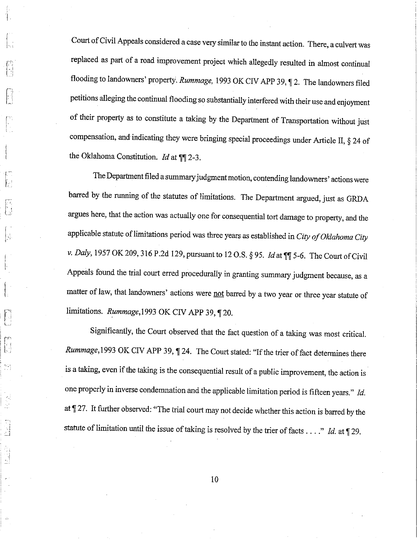Court of Civil Appeals considered a case very similar to the instant action. There, a culvert was replaced as part of a road improvement project which allegedly resulted in almost continual flooding to landowners' property. Rummage, 1993 OK CIV APP 39, 12. The landowners filed petitions alleging the continual flooding so substantially interfered with their use and enjoyment of their property as to constitute a taking by the Department of rransportation without just compensation, and indicating they were bringing special proceedings under Article II,  $\S$  24 of the Oklahoma Constitution. *Id* at  $\P$ 2-3.

I

l,

**li** 

 $\begin{bmatrix} 1 \\ 1 \end{bmatrix}$ 

t'

The Department filed a summary judgment motion, contending landowners' actions were barred by the running of the statutes of limitations. The Department argued, just as GRDA argues here, that the action was actually one for consequential tort damage to property, and the applicable statute of limitations period was three years as established in City of Oklahoma City v. Daly, 1957 OK 209, 316 P.2d 129, pursuant to 12 O.S. § 95. Id at  $\P$  5-6. The Court of Civil Appeals found the trial court erred procedurally in granting summary judgment because, as a matter of law, that landowners' actions were not barred by a two year or three year statute of limitations. Rummage,1993 OK CIV APP 39, 120.

Significantly, the Court observed that the fact question of a taking was most critical. Rummage, 1993 OK CIV APP 39,  $\P$  24. The Court stated: "If the trier of fact determines there is a taking, even if the taking is the consequential result of a public improvement, the action is one properly in inverse condemnation and the applicable limitation period is fifteen years." Id. at  $\P$  27. It further observed: "The trial court may not decide whether this action is barred by the statute of limitation until the issue of taking is resolved by the trier of facts...." Id. at  $\P$ 29.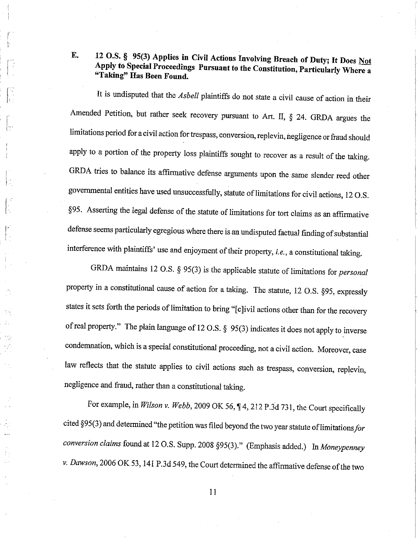## E. 12 O.S. § 95(3) Applies in Civil Actions Involving Breach of Duty; It Does Not Apply to Special Proceedings Pursuant to the Constitution, Particularly Where a "Taking" Has Been Found.

It is undisputed that the *Asbell* plaintiffs do not state a civil cause of action in their Amended Petition, but rather seek recovery pursuant to Art. II, \$ 24. GRDA argues the limitations period for a civil action for trespass, conversion, replevin, negligence or fraud should apply to a portion of the property loss plaintiffs sought to recover as a result of the taking. GRDA tries to balance its affirmative defense arguments upon the same slender reed other govemmental entities have used unsuccessfully, statute of limitations for civil actions, 12 o.s. §95. Asserting the legal defense of the statute of limitations for tort claims as an affirmative defense seems particularly egregious where there is an undisputed factual finding of substantial interference with plaintiffs' use and enjoyment of their property, i.e., a constitutional taking.

J.

GRDA maintains 12 O.S.  $\S$  95(3) is the applicable statute of limitations for *personal* property in a constitutional cause of action for a taking. The statute, 12 O.S. §95, expressly states it sets forth the periods of limitation to bring "[c]ivil actions other than for the recovery of real property." The plain language of 12 O.S.  $\S$  95(3) indicates it does not apply to inverse condemnation, which is a special constitutional proceeding, not a civil action. Moreover, case law reflects that the statute applies to civil actions such as trespass, conversion, replevin, negligence and fraud, rather than a constitutional taking.

For example, in Wilson v. Webb, 2009 OK 56,  $\P$  4, 212 P.3d 731, the Court specifically cited  $\S 95(3)$  and determined "the petition was filed beyond the two year statute of limitations for conversion claims found at 12 O.S. Supp. 2008 §95(3)." (Emphasis added.) In Moneypenney v. Dawson, 2006 OK 53, 141 P.3d 549, the Court determined the affirmative defense of the two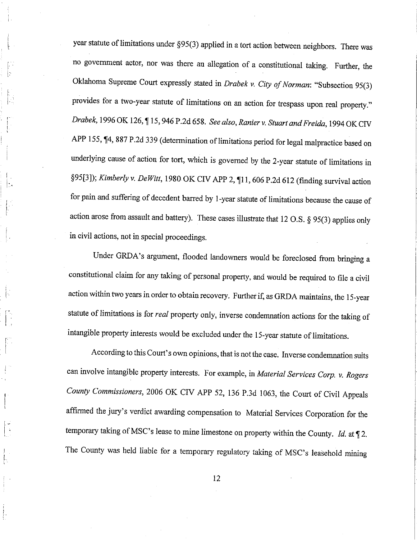year statute of limitations under  $\S 95(3)$  applied in a tort action between neighbors. There was no government actor, nor was there an allegation of a constitutional taking. Further, the Oklahoma Supreme Court expressly stated in Drabek v. City of Norman: "Subsection 95(3) provides for a two-year statute of limitations on an action for trespass upon real property." Drabek, 1996 OK 126, 15, 946 P.2d 658. See also, Ranier v. Stuart and Freida, 1994 OK CIV APP 155, ¶4, 887 P.2d 339 (determination of limitations period for legal malpractice based on underlying cause of action for tort, which is govemed by the 2-year statute of limitations in §95[3]); Kimberly v. DeWitt, 1980 OK CIV APP 2,  $\P$ 11, 606 P.2d 612 (finding survival action for pain and suffering of decedent barred by 1-year statute of limitations because the cause of action arose from assault and battery). These cases illustrate that 12 O.S.  $\S$  95(3) applies only in civil actions, not in special proceedings.

I t-.

L

I' I I

f' l

l

I I

l-. t'

I

Under GRDA's argument, flooded landowners would be foreclosed from bringing a constitutional claim for any taking of personal property, and would be required to file a civil action within two years in order to obtain recovery. Further if, as GRDA maintains, the 15-year statute of limitations is for real property only, inverse condemnation actions for the taking of intangible property interests would be excluded under the 1s-year statute of limitations.

According to this Court's own opinions, that is not the case. Inverse condemnation suits can involve intangible property interests. For example, in Material Services Corp. v. Rogers County Commissioners, 2006 OK CIV APP 52, 136 P.3d 1063, the Court of Civil Appeals affirmed the jury's verdict awarding compensation to Material services corporation for the temporary taking of MSC's lease to mine limestone on property within the County. Id. at  $\P$  2. The county was held liable for a temporary regulatory taking of MSC's leasehold mining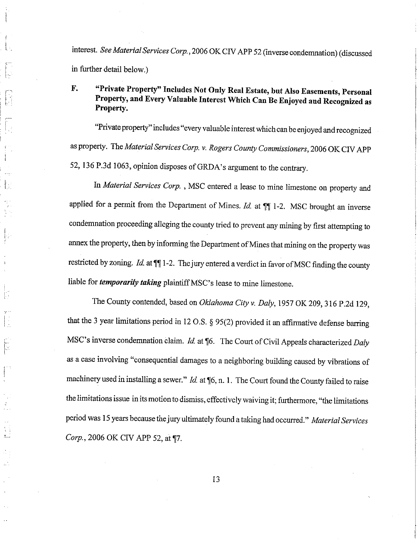interest. See Material Services Corp., 2006 OK CIV APP 52 (inverse condemnation) (discussed in further detail below.)

#### "Private Property" Includes Not Only Real Estate, but Also Easements, Personal F. Property, and Every Valuable Interest Which Can Be Enjoyed and Recognized as Property.

"Private property" includes "every valuable interest which can be enjoyed and recognized as property. The Material Services Corp. v. Rogers County Commissioners, 2006 OK CIV APP 52, 136 P.3d 1063, opinion disposes of GRDA's argument to the contrary.

In Material Services Corp., MSC entered a lease to mine limestone on property and applied for a permit from the Department of Mines.  $Id$ . at  $\P$  1-2. MSC brought an inverse condemnation proceeding alleging the county tried to prevent any mining by first attempting to annex the property, then by informing the Department of Mines that mining on the property was restricted by zoning. *Id.* at  $\P$  $\parallel$  1-2. The jury entered a verdict in favor of MSC finding the county liable for *temporarily taking* plaintiff MSC's lease to mine limestone.

The County contended, based on Oklahoma City v. Daly, 1957 OK 209, 316 P.2d 129, that the 3 year limitations period in 12 O.S.  $\S 95(2)$  provided it an affirmative defense barring MSC's inverse condemnation claim. Id. at ¶6. The Court of Civil Appeals characterized Daly as a case involving "consequential damages to a neighboring building caused by vibrations of machinery used in installing a sewer."  $Id$  at  $\P6$ , n. 1. The Court found the County failed to raise the limitations issue in its motion to dismiss, effectively waiving it; furthermore, "the limitations period was 15 years because the jury ultimately found a taking had occurred." Material Services Corp., 2006 OK CIV APP 52, at ¶7.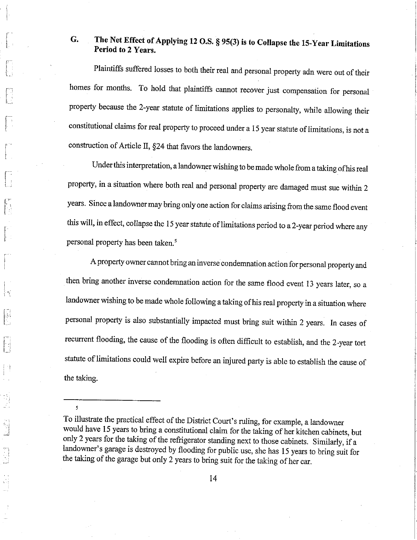## G. The Net Effect of Applying 12 O.S. § 95(3) is to Collapse the 15-Year Limitations Period to 2 Years.

Plaintiffs suffered losses to both their real and personal property adn were out of their homes for months. To hold that plaintiffs cannot recover just compensation for personal property because the 2-year statute of limitations applies to personalty, while allowing their constitutional claims for real property to proceed under a 15 year statute of limitations, is not a construction of Article II, \$24 that favors the landowners.

Under this interpretation, a landowner wishing to be made whole from a taking of his real property, in a situation where both real and personal property are damaged must sue within <sup>2</sup> years. Since a landowner may bring only one action for claims arising from the same flood event this will, in effect, collapse the 15 year statute of limitations period to a 2-year period where any personal property has been taken.<sup>5</sup>

<sup>A</sup>property owner cannot bring an inverse condemnation action for personal property and then bring another inverse condemnation action for the same flood event 13 years later, so a landowner wishing to be made whole following a taking of his real property in a situation where personal property is also substantially impacted must bring suit within 2 years. In cases of fecurrent flooding, the cause of the flooding is often difficult to establish, and the 2-year tort statute of limitations could well expire before an injured party is able to establish the cause of the taking.

5

To illustrate the practical effect of the District Court's ruling, for example, a landowner would have 15 years to bring a constitutional claim for the taking of her kitchen cabinets, but only 2 years for the taking of the refrigerator standing next to those cabinets. similarly, íf <sup>a</sup> landowner's garage is destroyed by flooding for public use, she has 15 years to bring suit for the taking of the garage but only 2 years to bring suit for the taking of her car.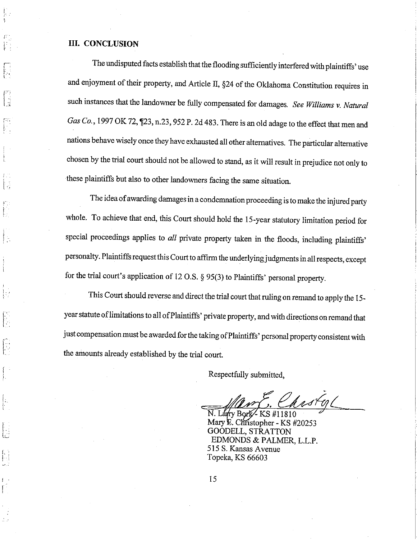#### III. CONCLUSION

1, I.

t.-

f.I. :.

i

The undisputed facts establish that the flooding sufficiently interfered with plaintiffs' use and enjoyment of their property, and Article II, §24 of the Oklahoma Constitution requires in such instances that the landowner be fully compensated for damages. See Williams v. Natural Gas Co., 1997 OK 72, 123, n.23, 952 P. 2d 483. There is an old adage to the effect that men and nations behave wisely once they have exhausted all other alternatives. The particular alternative chosen by the trial court should not be allowed to stand, as it will result in prejudice not only to these plaintiffs but also to other landowners facing the same situation.

The idea of awarding damages in a condemnation proceeding is to make the injured party whole. To achieve that end, this Court should hold the 15-year statutory limitation period for special proceedings applies to all private property taken in the floods, including plaintiffs' personalty. Plaintiffs request this court to affrrm the underlying judgments in all respects, except for the trial court's appiication of 12 o.s. \$ 95(3) to plaintiffs' personal propertv.

This Court should reverse and direct the trial court that ruling on remand to apply the 15year statute of limitations to all of Plaintiffs' private property, and with directions on remand that just compensation must be awarded for the taking ofPlaintiffs' personal property consistent with the amounts already established by the trial court.

Respectfully submitted,

astal

N. Larry Bork - KS #11810<br>Mary E. Christopher - KS #20253 GOODELL, STRATTON EDMONDS & PALMER, L.L.P. 515 S. Kansas Avenue Topeka, KS 66603

15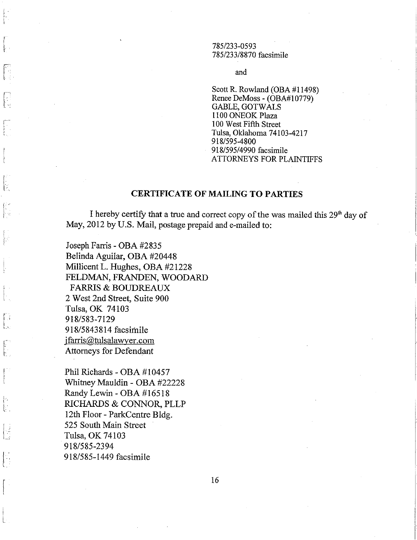785/233-0593 785/233/8870 facsimile

and

Scott R. Rowland (OBA #11498) Renee DeMoss - (OBA#10779) **GABLE, GOTWALS** 1100 ONEOK Plaza 100 West Fifth Street Tulsa, Oklahoma 74103-4217 918/595-4800 918/595/4990 facsimile ATTORNEYS FOR PLAINTIFFS

### **CERTIFICATE OF MAILING TO PARTIES**

I hereby certify that a true and correct copy of the was mailed this 29<sup>th</sup> day of May, 2012 by U.S. Mail, postage prepaid and e-mailed to:

Joseph Farris - OBA #2835 Belinda Aguilar, OBA #20448 Millicent L. Hughes, OBA #21228 FELDMAN, FRANDEN, WOODARD **FARRIS & BOUDREAUX** 2 West 2nd Street, Suite 900 Tulsa, OK 74103 918/583-7129 918/5843814 facsimile jfarris@tulsalawyer.com **Attorneys for Defendant** 

Phil Richards - OBA #10457 Whitney Mauldin - OBA #22228 Randy Lewin - OBA #16518 RICHARDS & CONNOR, PLLP 12th Floor - ParkCentre Bldg. 525 South Main Street Tulsa, OK 74103 918/585-2394 918/585-1449 facsimile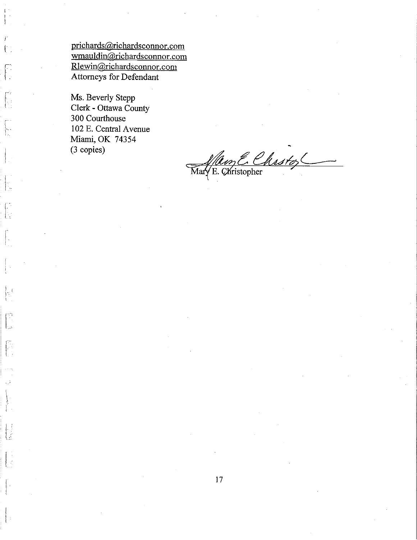prichards@richardsconnor.com wmauldin@richardsconnor.com Rlewin@richardsconnor.com Attorneys for Defendant

Ms. Beverly Stepp Clerk - Ottawa County 300 Courthouse 102 E. Central Avenue Miami, OK 74354 (3 copies)

t.

∤.

JS.

ħ.

b

ĺτ.

 $\begin{bmatrix} 1 \\ 1 \end{bmatrix}$ 

Man E. Chistop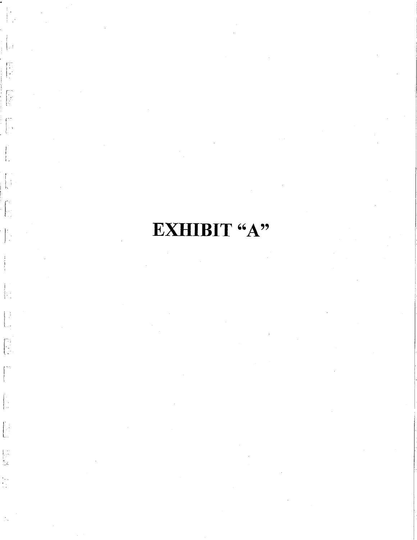# EXHIBIT "A"

 $\begin{bmatrix} 1 \\ 1 \\ 2 \end{bmatrix}$ 

 $\begin{bmatrix} 1 & 1 \\ 1 & 1 \\ 1 & 1 \end{bmatrix}$ 

 $\begin{bmatrix} 1 & 0 & 0 \\ 0 & 0 & 0 \\ 0 & 0 & 0 \end{bmatrix}$ 

j.

 $\begin{bmatrix} 1 \\ 1 \\ 1 \\ 2 \end{bmatrix}$ 

 $\begin{bmatrix} 1 & 1 \\ 1 & 1 \\ 1 & 1 \end{bmatrix}$ 

 $\left\lfloor \frac{1}{2} \right\rfloor$ 

 $\begin{bmatrix} 1 & 1 \\ 1 & 1 \\ 1 & 1 \end{bmatrix}$ 

 $\begin{bmatrix} 1 & 1 \\ 1 & 1 \\ 1 & 1 \end{bmatrix}$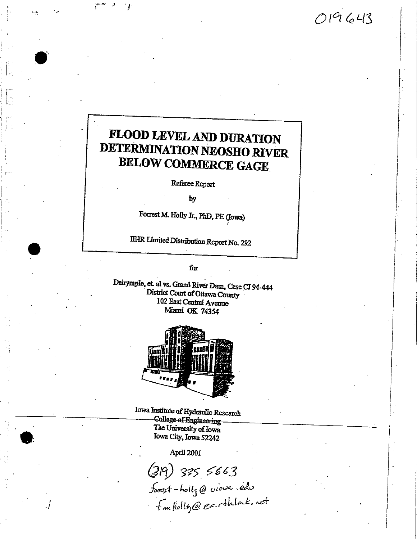$019643$ 

# FLOOD LEVEL AND DURATION **DETERMINATION NEOSHO RIVER BELOW COMMERCE GAGE**

 $\sim 1$ 

 $^{\prime}$  }

Referee Report

by

Forrest M. Holly Jr., PhD, PE (Iowa)

IIHR Limited Distribution Report No. 292

for

Dalrymple, et. al vs. Grand River Dam, Case CJ 94-444 District Court of Ottawa County 102 East Central Avenue Miami OK 74354



Iowa Institute of Hydraulic Research College of Engineering The University of Iowa Iowa City, Iowa 52242

April 2001

(319) 335 5663<br>foot - holly @ view.edu<br>fm flolly@earthlock.net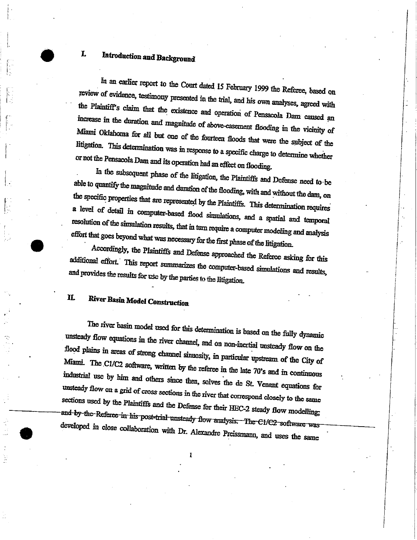## Introduction and Background

In an earlier report to the Court dated 15 February 1999 the Referee, based on review of evidence, testimony presented in the trial, and his own analyses, agreed with the Plaintiff's claim that the existence and operation of Pensacola Dam caused an increase in the duration and magnitude of above-easement flooding in the vicinity of Miami Oklahoma for all but one of the fourteen floods that were the subject of the litigation. This determination was in response to a specific charge to determine whether or not the Pensacola Dam and its operation had an effect on flooding.

In the subsequent phase of the litigation, the Plaintiffs and Defense need to be able to quantify the magnitude and duration of the flooding, with and without the dam, on the specific properties that are represented by the Plaintiffs. This determination requires a level of detail in computer-based flood simulations, and a spatial and temporal resolution of the simulation results, that in turn require a computer modeling and analysis effort that goes beyond what was necessary for the first phase of the litigation.

Accordingly, the Plaintiffs and Defense approached the Referee asking for this additional effort. This report summarizes the computer-based simulations and results, and provides the results for use by the parties to the litigation.

#### $\Pi$ . River Basin Model Construction

The river basin model used for this determination is based on the fully dynamic unsteady flow equations in the river channel, and on non-inertial unsteady flow on the flood plains in areas of strong channel sinuosity, in particular upstream of the City of Miami. The C1/C2 software, written by the referee in the late 70's and in continuous industrial use by him and others since then, solves the de St. Venant equations for unsteady flow on a grid of cross sections in the river that correspond closely to the same sections used by the Plaintiffs and the Defense for their HEC-2 steady flow modelling; and by the Referee in his post-trial unsteady flow analysis. The C1/C2 software was developed in close collaboration with Dr. Alexandre Preissmann, and uses the same

L